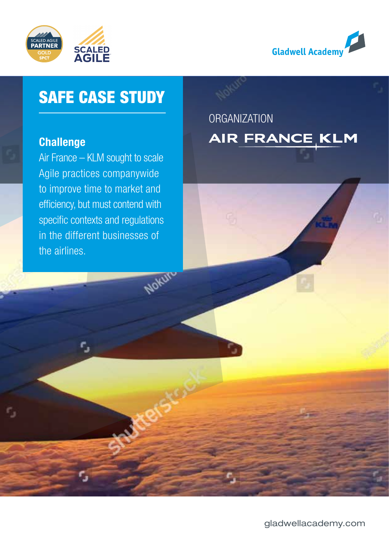



## SAFE CASE STUDY

### **Challenge**

Air France – KLM sought to scale Agile practices companywide to improve time to market and efficiency, but must contend with specific contexts and regulations in the different businesses of the airlines.

Nokur

## **ORGANIZATION** AIR FRANCE KLM

[gladwellacademy.com](http://www.gladwellacademy.com)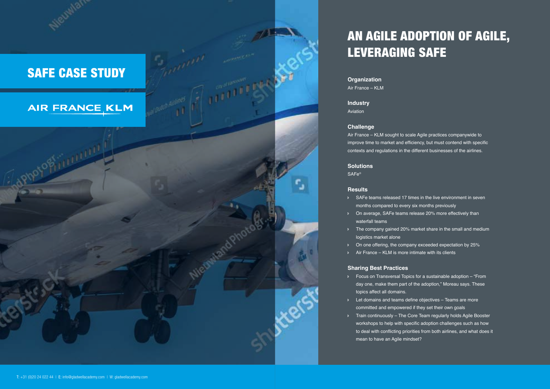**Organization** Air France – KLM

**Industry** Aviation

#### **Challenge**

- months compared to every six months previously
- Ð On average, SAFe teams release 20% more effectively than waterfall teams
- logistics market alone
- Ð On one offering, the company exceeded expectation by 25%
- $\triangleright$  Air France KLM is more intimate with its clients

Air France – KLM sought to scale Agile practices companywide to improve time to market and efficiency, but must contend with specific contexts and regulations in the different businesses of the airlines.

#### **Solutions**

SAFe®

#### **Results**

Ð SAFe teams released 17 times in the live environment in seven

Ð The company gained 20% market share in the small and medium

#### **Sharing Best Practices**

day one, make them part of the adoption," Moreau says. These

- Ð Focus on Transversal Topics for a sustainable adoption "From topics affect all domains.
- Ð Let domains and teams define objectives Teams are more committed and empowered if they set their own goals
- mean to have an Agile mindset?

Ð Train continuously – The Core Team regularly holds Agile Booster workshops to help with specific adoption challenges such as how to deal with conflicting priorities from both airlines, and what does it

## SAFE CASE STUDY

## **AIR FRANCE KLM**

**RULLULULU** 

# AN AGILE ADOPTION OF AGILE,

LEVERAGING SAFE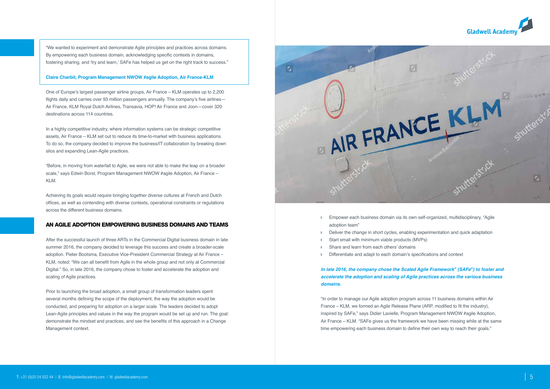"We wanted to experiment and demonstrate Agile principles and practices across domains. By empowering each business domain, acknowledging specific contexts in domains, fostering sharing, and 'try and learn,' SAFe has helped us get on the right track to success."



#### **Claire Charbit, Program Management NWOW #agile Adoption, Air France-KLM**

One of Europe's largest passenger airline groups, Air France – KLM operates up to 2,200 flights daily and carries over 93 million passengers annually. The company's five airlines— Air France, KLM Royal Dutch Airlines, Transavia, HOP! Air France and Joon—cover 320 destinations across 114 countries.

In a highly competitive industry, where information systems can be strategic competitive assets, Air France – KLM set out to reduce its time-to-market with business applications. To do so, the company decided to improve the business/IT collaboration by breaking down silos and expanding Lean-Agile practices.

"Before, in moving from waterfall to Agile, we were not able to make the leap on a broader scale," says Edwin Borst, Program Management NWOW #agile Adoption, Air France – KLM.

- Ð Empower each business domain via its own self-organized, multidisciplinary, "Agile adoption team"
- Ð Deliver the change in short cycles, enabling experimentation and quick adaptation
- Start small with minimum viable products (MVPs)
- Ð Share and learn from each others' domains
- Differentiate and adapt to each domain's specifications and context

Achieving its goals would require bringing together diverse cultures at French and Dutch offices, as well as contending with diverse contexts, operational constraints or regulations across the different business domains.

#### AN AGILE ADOPTION EMPOWERING BUSINESS DOMAINS AND TEAMS

After the successful launch of three ARTs in the Commercial Digital business domain in late summer 2016, the company decided to leverage this success and create a broader-scale adoption. Pieter Bootsma, Executive Vice-President Commercial Strategy at Air France – KLM, noted: "We can all benefit from Agile in the whole group and not only at Commercial Digital." So, in late 2016, the company chose to foster and accelerate the adoption and scaling of Agile practices.

Prior to launching the broad adoption, a small group of transformation leaders spent several months defining the scope of the deployment, the way the adoption would be conducted, and preparing for adoption on a larger scale. The leaders decided to adopt Lean-Agile principles and values in the way the program would be set up and run. The goal: demonstrate the mindset and practices, and see the benefits of this approach in a Change Management context.



#### *In late 2016, the company chose the Scaled Agile Framework® (SAFe®) to foster and accelerate the adoption and scaling of Agile practices across the various business domains.*

"In order to manage our Agile adoption program across 11 business domains within Air France – KLM, we formed an Agile Release Plane (ARP, modified to fit the industry), inspired by SAFe," says Didier Lavielle, Program Management NWOW #agile Adoption, Air France – KLM. "SAFe gives us the framework we have been missing while at the same time empowering each business domain to define their own way to reach their goals."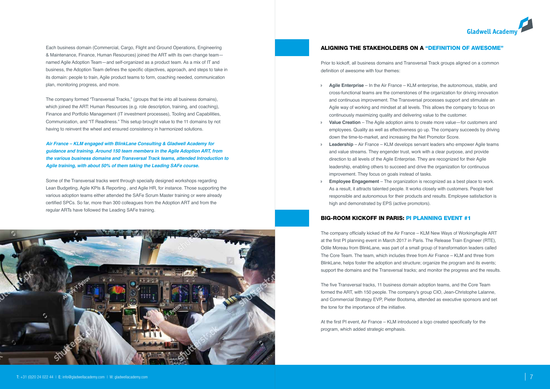Each business domain (Commercial, Cargo, Flight and Ground Operations, Engineering & Maintenance, Finance, Human Resources) joined the ART with its own change team named Agile Adoption Team—and self-organized as a product team. As a mix of IT and business, the Adoption Team defines the specific objectives, approach, and steps to take in its domain: people to train, Agile product teams to form, coaching needed, communication plan, monitoring progress, and more.

The company formed "Transversal Tracks," (groups that tie into all business domains), which joined the ART: Human Resources (e.g. role description, training, and coaching), Finance and Portfolio Management (IT investment processes), Tooling and Capabilities, Communication, and "IT Readiness." This setup brought value to the 11 domains by not having to reinvent the wheel and ensured consistency in harmonized solutions.

*Air France – KLM engaged with BlinkLane Consulting & Gladwell Academy for guidance and training. Around 150 team members in the Agile Adoption ART, from the various business domains and Transversal Track teams, attended Introduction to Agile training, with about 50% of them taking the Leading SAFe course.* 

Some of the Transversal tracks went through specially designed workshops regarding Lean Budgeting, Agile KPIs & Reporting , and Agile HR, for instance. Those supporting the various adoption teams either attended the SAFe Scrum Master training or were already certified SPCs. So far, more than 300 colleagues from the Adoption ART and from the regular ARTs have followed the Leading SAFe training.



#### ALIGNING THE STAKEHOLDERS ON A "DEFINITION OF AWESOME"

Prior to kickoff, all business domains and Transversal Track groups aligned on a common definition of awesome with four themes:

- Ð **Agile Enterprise** In the Air France KLM enterprise, the autonomous, stable, and cross-functional teams are the cornerstones of the organization for driving innovation and continuous improvement. The Transversal processes support and stimulate an Agile way of working and mindset at all levels. This allows the company to focus on continuously maximizing quality and delivering value to the customer.
- employees. Quality as well as effectiveness go up. The company succeeds by driving down the time-to-market, and increasing the Net Promotor Score.
- **Leadership** Air France KLM develops servant leaders who empower Agile teams and value streams. They engender trust, work with a clear purpose, and provide direction to all levels of the Agile Enterprise. They are recognized for their Agile leadership, enabling others to succeed and drive the organization for continuous improvement. They focus on goals instead of tasks.
- **Employee Engagement** The organization is recognized as a best place to work. As a result, it attracts talented people. It works closely with customers. People feel responsible and autonomous for their products and results. Employee satisfaction is high and demonstrated by EPS (active promotors).

#### BIG-ROOM KICKOFF IN PARIS: PI PLANNING EVENT #1

The company officially kicked off the Air France – KLM New Ways of Working#agile ART at the first PI planning event in March 2017 in Paris. The Release Train Engineer (RTE), Odile Moreau from BlinkLane, was part of a small group of transformation leaders called The Core Team. The team, which includes three from Air France – KLM and three from BlinkLane, helps foster the adoption and structure; organize the program and its events; support the domains and the Transversal tracks; and monitor the progress and the results.

The five Transversal tracks, 11 business domain adoption teams, and the Core Team formed the ART, with 150 people. The company's group CIO, Jean-Christophe Lalanne, and Commercial Strategy EVP, Pieter Bootsma, attended as executive sponsors and set the tone for the importance of the initiative.

At the first PI event, Air France – KLM introduced a logo created specifically for the program, which added strategic emphasis.



**Value Creation** – The Agile adoption aims to create more value—for customers and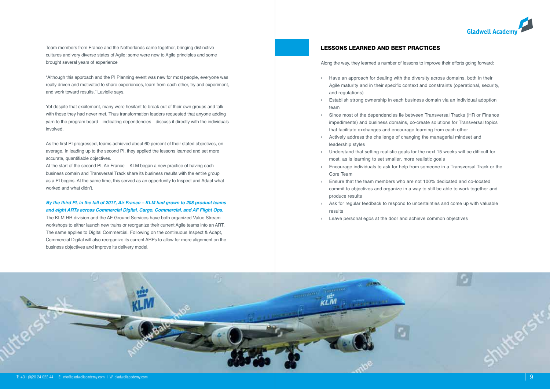

Team members from France and the Netherlands came together, bringing distinctive cultures and very diverse states of Agile: some were new to Agile principles and some brought several years of experience

"Although this approach and the PI Planning event was new for most people, everyone was really driven and motivated to share experiences, learn from each other, try and experiment, and work toward results," Lavielle says.

Yet despite that excitement, many were hesitant to break out of their own groups and talk with those they had never met. Thus transformation leaders requested that anyone adding yarn to the program board—indicating dependencies—discuss it directly with the individuals involved.

As the first PI progressed, teams achieved about 60 percent of their stated objectives, on average. In leading up to the second PI, they applied the lessons learned and set more accurate, quantifiable objectives.

At the start of the second PI, Air France – KLM began a new practice of having each business domain and Transversal Track share its business results with the entire group as a PI begins. At the same time, this served as an opportunity to Inspect and Adapt what worked and what didn't.

*By the third PI, in the fall of 2017, Air France – KLM had grown to 208 product teams and eight ARTs across Commercial Digital, Cargo, Commercial, and AF Flight Ops.*

The KLM HR division and the AF Ground Services have both organized Value Stream workshops to either launch new trains or reorganize their current Agile teams into an ART. The same applies to Digital Commercial. Following on the continuous Inspect & Adapt, Commercial Digital will also reorganize its current ARPs to allow for more alignment on the business objectives and improve its delivery model.

#### LESSONS LEARNED AND BEST PRACTICES

Along the way, they learned a number of lessons to improve their efforts going forward:

- Ð Have an approach for dealing with the diversity across domains, both in their Agile maturity and in their specific context and constraints (operational, security, and regulations)
- Ð Establish strong ownership in each business domain via an individual adoption team
- Ð Since most of the dependencies lie between Transversal Tracks (HR or Finance impediments) and business domains, co-create solutions for Transversal topics that facilitate exchanges and encourage learning from each other
- Ð Actively address the challenge of changing the managerial mindset and leadership styles
- Ð Understand that setting realistic goals for the next 15 weeks will be difficult for most, as is learning to set smaller, more realistic goals
- Ð Encourage individuals to ask for help from someone in a Transversal Track or the Core Team
- Ð Ensure that the team members who are not 100% dedicated and co-located commit to objectives and organize in a way to still be able to work together and produce results
- Ð Ask for regular feedback to respond to uncertainties and come up with valuable results
- Ð Leave personal egos at the door and achieve common objectives

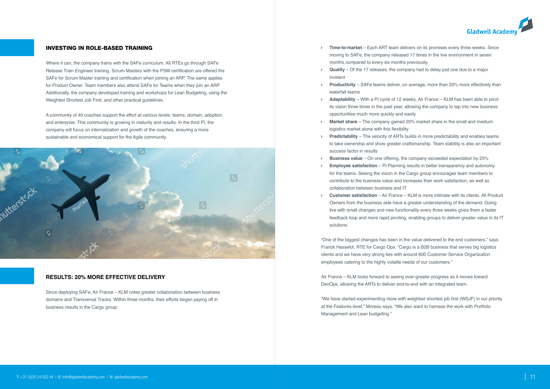

#### INVESTING IN ROLE-BASED TRAINING

Where it can, the company trains with the SAFe curriculum. All RTEs go through SAFe Release Train Engineer training. Scrum Masters with the PSM certification are offered the SAFe for Scrum Master training and certification when joining an ARP. The same applies for Product Owner. Team members also attend SAFe for Teams when they join an ARP. Additionally, the company developed training and workshops for Lean Budgeting, using the Weighted Shortest Job First, and other practical guidelines.

A community of 40 coaches support the effort at various levels: teams, domain, adoption, and enterprise. This community is growing in maturity and results. In the third PI, the company will focus on internalization and growth of the coaches, ensuring a more sustainable and economical support for the Agile community.



#### **RESULTS: 20% MORE EFFECTIVE DELIVERY**

Since deploying SAFe, Air France – KLM notes greater collaboration between business domains and Transversal Tracks. Within three months, their efforts began paying off in business results in the Cargo group:

- Ð **Time-to-market** Each ART team delivers on its promises every three weeks. Since moving to SAFe, the company released 17 times in the live environment in seven months compared to every six months previously.
- Ð **Quality** Of the 17 releases, the company had to delay just one due to a major incident
- **Productivity** SAFe teams deliver, on average, more than 20% more effectively than waterfall teams
- **Adaptability** With a PI cycle of 12 weeks, Air France KLM has been able to pivot its vision three times in the past year, allowing the company to tap into new business opportunities much more quickly and easily
- **Market share** The company gained 20% market share in the small and medium logistics market alone with this flexibility
- **Predictability** The velocity of ARTs builds in more predictability and enables teams to take ownership and show greater craftsmanship. Team stability is also an important success factor in results
- Ð **Business value** On one offering, the company exceeded expectation by 25% **Employee satisfaction** – PI Planning results in better transparency and autonomy for the teams. Seeing the vision in the Cargo group encourages team members to contribute to the business value and increases their work satisfaction, as well as
- collaboration between business and IT
- Ð **Customer satisfaction** Air France KLM is more intimate with its clients. All Product Owners from the business side have a greater understanding of the demand. Going live with small changes and new functionality every three weeks gives them a faster feedback loop and more rapid pivoting, enabling groups to deliver greater value in its IT solutions

- "One of the biggest changes has been in the value delivered to the end customers," says
	-
	-

Franck Hasselot, RTE for Cargo Ops. "Cargo is a B2B business that serves big logistics clients and we have very strong ties with around 600 Customer Service Organization employees catering to the highly volatile needs of our customers."

Air France – KLM looks forward to seeing ever-greater progress as it moves toward DevOps, allowing the ARTs to deliver end-to-end with an integrated team.

"We have started experimenting more with weighted shortest job first (WSJF) in our priority at the Features level," Moreau says. "We also want to harness the work with Portfolio Management and Lean budgeting."